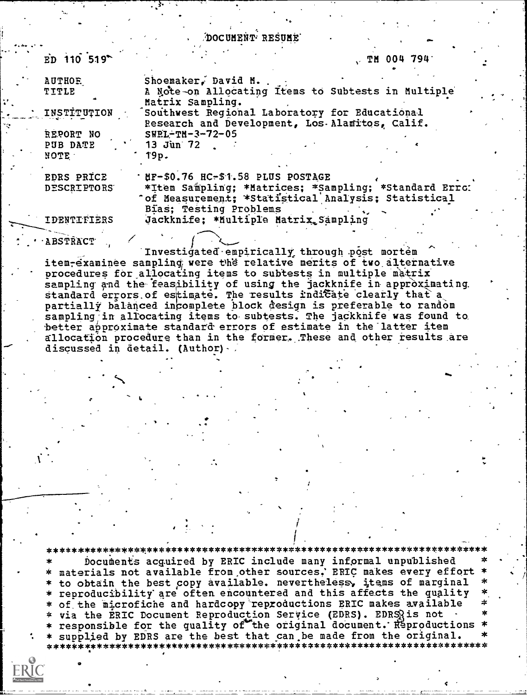DOCUMENT<sup>.</sup> RESUME

| $ED$ 110 519       | $70$ TM 004 794                                      |
|--------------------|------------------------------------------------------|
| <b>AUTHOE</b>      | Shoemaker, David M.                                  |
| <b>TITLE</b>       | A Note-on Allocating Items to Subtests in Multiple   |
|                    | Matrix Sampling.                                     |
| INSTITUTION        | Southwest Regional Laboratory for Educational        |
|                    | Research and Development, Los. Alamitos, Calif.      |
| REPORT NO          | $SWEL-TM-3-72-05$                                    |
| PUB DATE           | $13$ Jun $72$                                        |
| <b>NOTE</b>        | 19p.                                                 |
| EDRS PRICE         | UP-\$0.76 HC-\$1.58 PLUS POSTAGE                     |
| <b>DESCRIPTORS</b> | *Item Sampling; *Matrices; *Sampling; *Standard Erro |
|                    | "of Measurement; *Statistical Analysis; Statistical  |
|                    | Bias; Testing Problems                               |
| IDENTIFIERS        | Jackknife; * Multiple Matrix Sampling                |
|                    |                                                      |
| <b>ABSTRACT</b>    |                                                      |

Investigated empirically through post mortem item-examinee sampling were the relative merits of two alternative procedures for allocating items to subtests in multiple matrix sampling and the feasibility of using the jackknife in approximating standard errors of estimate. The results indicate clearly that a partially balanced incomplete block design is preferable to random sampling in allocating items to subtests. The jackknife was found to better approximate standard errors of estimate in the latter item allocation procedure than in the former. These and other results are discussed in detail. (Author) /

Documents acquired by ERIC include many informal unpublished materials not available from other sources, ERIC makes every effort to obtain the best copy available. nevertheless, items of marginal reproducibility are often encountered and this affects the quality of the microfiche and hardcopy reproductions ERIC makes available via the ERIC Document Reproduction Service (EDRS). EDRSRis not responsible for the quality of the original document. Reproductions supplied by EDRS are the best that can be made from the original.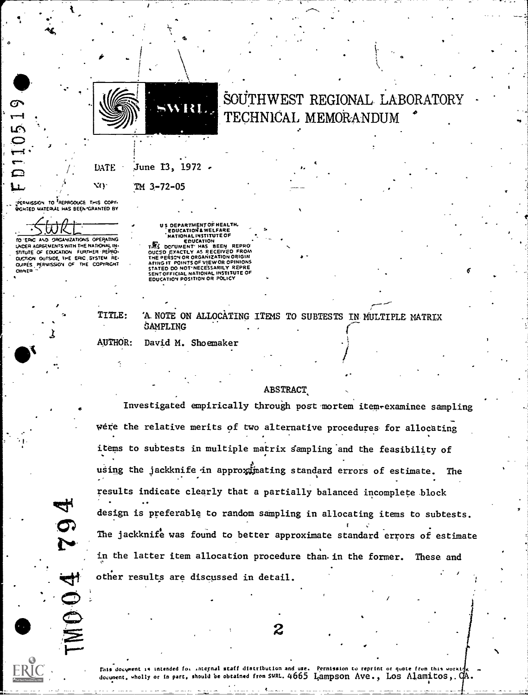

# SOUTHWEST REGIONAL LABORATORY TECHNICAL. MEMORANDUM

 $\mathbf{1}_{\mathbf{a}}$ 

 $\bullet$  and a set of  $\bullet$ 

### $\text{DATE}$  June  $\text{I3, 1972}$  .

TM 3,-72-05

:PERMISSION TO REPRODUCE THIS COPY-BIGHTED WATERIAL HAS BEEN GRANTED BY

NQ.

 $\blacktriangleright$  and  $\blacktriangleright$ 

TO EPIC AND ORGANIZATIONS OPERATING

UNDER AGREEVENTS WITH THE NATIONAL IN-STITUTE OF EDUCATION FURTHER PEPHOT ON OUTSIDE THE ERIC. SYSTEM BE- T QUPES PERWISSION OF THE COPYRIGHT **OWNER** 

MO O4

US OEPARTMENT OF HEALTH,<br>
EDUCATION & WELFARE<br>
MATIONAL INSTITUTE OF<br>
REGIONAL INSTITUTE OF<br>
THIS DCTUMENT HAS BEEN REPRO<br>
DUCED EXACTLY AS RECEIVED FROM<br>
THIS DESCY OR ORGANIZATION ORIGINAL<br>
AFING IT POINTS OF VIEW OR OPI

lb

TITLE: 'A NOTE ON ALLOCATING ITEMS TO SUBTESTS IN-MULTIPLE MATRIX SAMPLING

AUTHOR: David M. Shoemaker ...

#### **ABSTRACT**

Investigated empirically through post mortem item examinee sampling were the relative merits of two alternative procedures for allocating items to subtests in multiple matrix sampling and the feasibility of . using the jackknife in approximating standard errors of estimate. The results indicate clearly that a partially balanced incomplete block design is preferable to random sampling in allocating items to subtests. The jackknife was found to better approximate standard errors of estimate in the latter item allocation procedure than. in the former. These and other results are discussed in detail.

 $2 \qquad \qquad$ 

3 \_

. The contract of the contract of the contract of the contract of the contract of the contract of the contract of the contract of the contract of the contract of the contract of the contract of the contract of the contrac Mis docyment is intended for raternal staff distribution and use. Permission to reprint or quote from this worki $\tilde{f}_K$  ... document. wholly or in part, should be obtained from SWRL. 4665 Lampson Ave., Los Alamitos,.  $\alpha$ .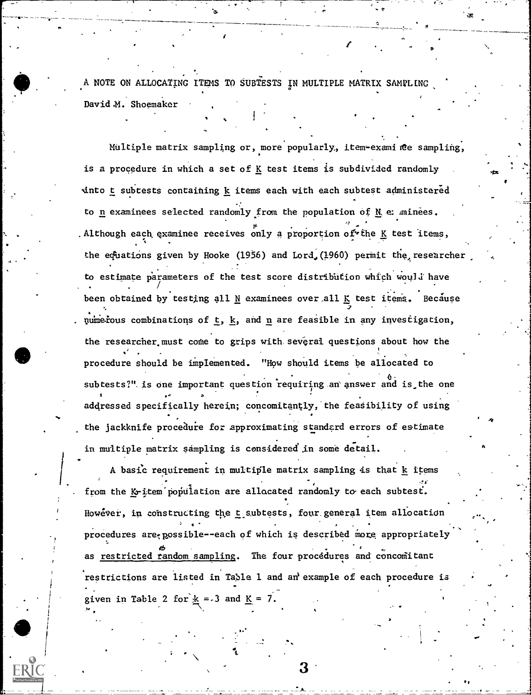A NOTE ON ALLOCATING ITEMS TO SUBTESTS IN MULTIPLE MATRIX SAMPLING, David M. Shoemaker

**T** 

I

Multiple matrix sampling or, more popularly, item-examinte sampling, is a procedure in which a set of  $K$  test items is subdivided randomly into t subtests containing k items each with each subtest administered to  $n$  examinees selected randomly from the population of  $M$  examinees. Although each examinee receives only a proportion of the K test items,  $\qquad \qquad$ the equations given by Hooke (1956) and Lord,(1960) permit the researcher to estimate parameters of the test score distribution which would have been obtained by testing all N examinees over all K test items. Because numerous combinations of  $t$ ,  $k$ , and  $n$  are feasible in any investigation, the researcher must come to grips with several questions about how the procedure should be implemented. "How should items be allocated to subtests?" is one important question requiring an answer and is the one addressed specifically herein; concomitantly, the feasibility of using the jackknife procedure for approximating standard errors of estimate in multiple matrix sampling is considered'in some detail.

A basic requirement in multiple matrix sampling is that k items from the  $K_T$  item population are allocated randomly to each subtest. However, in constructing the t subtests, four general item allocation procedures are possible--each of which is described more appropriately as restricted random sampling. The four procedures and concomitant restrictions are listed in Table 1 and an' example of each procedure is given in Table 2 for  $k = 3$  and  $K = 7$ .

3,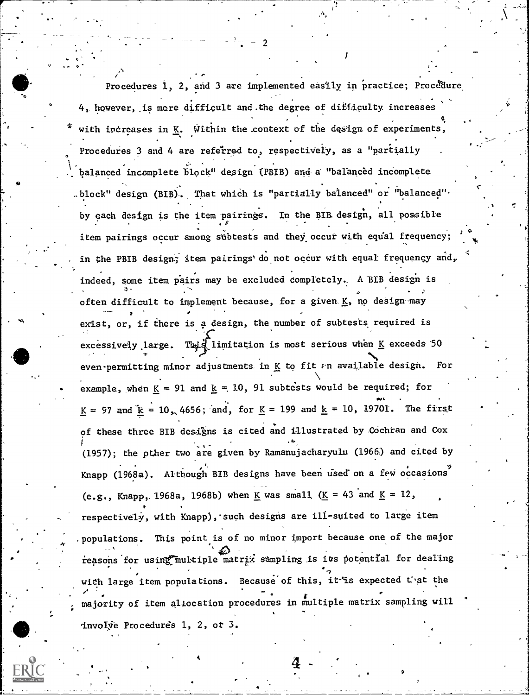Procedures 1, 2, and 3 are implemented easily in practice; Procedure I. 4, however, ,is more difficult and.the degree of difficulty, increases with increases in  $K$ . Within the context of the design of experiments, Procedures 3 and 4 are referred to, respectively, as a "partially \_ . balanced incomplete block" design (PBIB) and a "balanced incomplete .block" design (BIB). That which is "partially balanced" or "balanced". by each design is the item .pairings. In the BIB. design, all possible . . . item pairings occur among subtests and they occur with equal frequency; in the PBIB design, item pairings' do not occur with equal frequency and, indeed, some item pairs may be excluded completely. A BIB design is often difficult to implement because, for a given.  $K$ , no design may e exist, or, if there is a design, the number of subtests required is excessively large. This limitation is most serious when K exceeds 50 even permitting minor adjustments in K to fit  $v$ n available design. For example, when  $K = 91$  and  $K = 10$ , 91 subtests would be required; for  $K = 97$  and  $k = 10, 4656$ ; and, for  $K = 199$  and  $k = 10, 19701$ . The first of these three BIB designs is cited and illustrated by Cochran and Cox (1957); the other two are given by Ramanujacharyulu (1966) and cited by . Knapp (1968a). Although BIB designs have been used'on a few occasions (e.g., Knapp, 1968a, 1968b) when K was small,  $(K = 43 \text{ and } K = 12$ , respectively, with Knapp), such designs are ill-suited to large item .populations. This point is of no minor import because one of the major reasons for using multiple matrix sampling is its potential for dealing with large item populations. Because of this, it is expected that the majority of item allocation procedures in multiple matrix sampling will involve Procedures 1, 2, ot 3.

2

rat  $\sqrt{t}$ 

-4\*

4

 $4 \frac{4}{3}$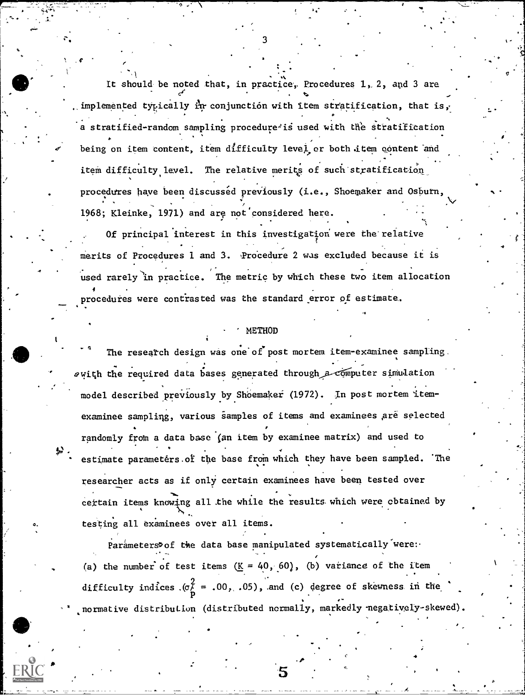It should be noted that, in practice, Procedures 1, 2, and 3 are  $\epsilon$  and  $\epsilon$ . implemented typically in conjunction with item stratification, that is, a stratified-random sampling procedure<sup>2</sup>is used with the stratification being on item content, item difficulty level or both item content and item difficulty level. The relative merits of such stratification procedures have been discussed previously (i.e., Shoemaker and Osburn, 1968; Kleinke, 1971) and arg not'considered here.  $\mathbf{x} \in \mathbb{R}$ 

Of principal interest in this investigation were the relative merits of Procedures 1 and 3. Procedure 2 was excluded because it is .<br>used rarely in practice. The metric by which these two item allocation  $\bullet$  . The set of  $\bullet$ procedures were contrasted was the standard error of estimate.

### METHOD

The research design was one of post mortem item-examinee sampling.  $\alpha$ with the required data bases generated through a computer simulation model described previously by Shoemaker (1972). In post mortem Itemexaminee sampliqg, various samples of items and examinees Are selected randomly from a data base (an item by examinee matrix) and used to estimate parameters of the base from which they have been sampled. The researcher acts as if only certain examinees have been tested over certain items knowing all the while the results which were obtained by testing all examinees over all items.

Parameters of the data base manipulated systematically were: (a) the number of test items  $(K = 40, 60)$ , (b) variance of the item difficulty indices  $(\sigma^2 = .00, .05)$ , and (c) degree of skewness in the normative distribution (distributed normally, markedly negatively-skewed).

 $5 \thinspace$   $\thinspace$   $\thinspace$ 

 $\mathbf{r} = \mathbf{r} \cdot \mathbf{r}$  and  $\mathbf{r} = \mathbf{r} \cdot \mathbf{r}$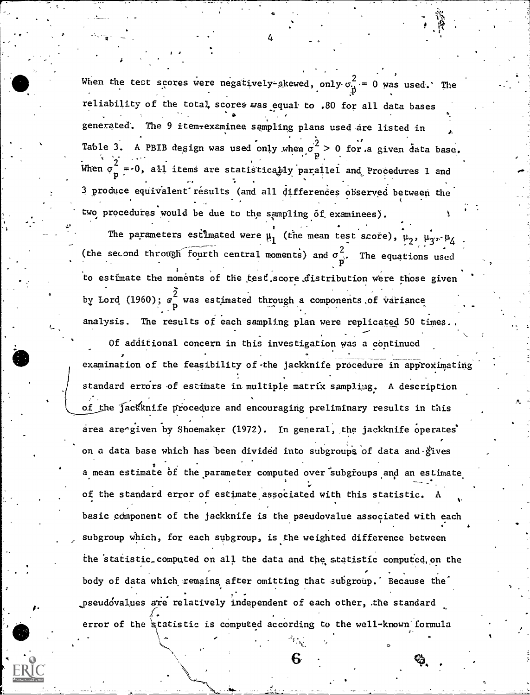pseudovalues are relatively independent of each other, the standard When the test scores were negatively-skewed, only  $\sigma_{\mu}^2 = 0$  was used.' reliability of the total scores was equal to .80 for all data bases generated. The 9 itemtexaminee sampling plans used are listed in  $\lambda$ Table 3. A PBIB degign was used only when  $\sigma^2 > 0$  for a given data base. When  $\sigma_{\mathbf{p}}^2 = 0$ , all items are statistically parallel and Procedures 1 and 3 produce equivalent results (and all differences observed between the **c** contract the contract of the contract of the contract of the contract of the contract of the contract of the contract of the contract of the contract of the contract of the contract of the contract of the contract of t two procedures would be due to the sampling of examinees). The parameters estimated were  $\mu_1$  (the mean test score),  $\mu_2$ ,  $\mu_{3}$ ,  $\mu_{4}$ (the second through fourth central moments) and  $\sigma_{\perp}^2$ . The equations used P to estimate the moments of the test score distribution were those given by Lord (1960);  $\sigma^-$  was estimated through a components of variance analysis. The results of each sampling plan were replicated 50 times. Of additional concern in this investigation was a continued examination of the feasibility of the jackknife procedure in approximating standard errors of estimate in multiple matrix sampling. A description of the jacKknife procedure and encouraging preliminary results in this area are given by Shoemaker (1972). In general, the jackknife operates on a data base which has been divided into subgroups of data and gives a mean estimate of the parameter computed over subgroups and an estimate of the standard error of estimate associated with this statistic. A basic component of the jackknife is the pseudovalue associated with each subgroup which, for each subgroup, is the weighted difference between the 'statistio.computed on all the data and the statistic computed, on the body of data which remains after omitting that subgroup.' Because the error of the *statistic* is computed according to the well-known formula

6

 $\circ$ 

4

-77=7777=

 $\epsilon$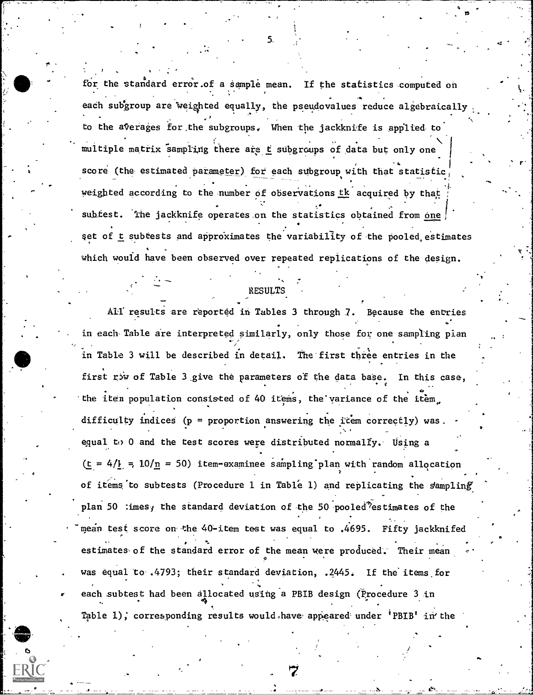for the standard error.of a sample mean. If the statistics computed on each subgroup are weighted equally, the pseudovalues reduce alget . , reduce algebraically  $\begin{bmatrix} \cdot & \cdot & \cdot \\ \cdot & \cdot & \cdot \end{bmatrix}$ , where the contribution of the contribution  $\mathcal{L}^{\mathcal{L}}$  , where  $\mathcal{L}^{\mathcal{L}}$ to the averages for the subgroups. When the jackknife is applied to multiple matrix sampling there are  $t$  subgroups of data but only one score (the estimated parameter) for each subgroup with that statistic weighted according to the number of observations tk acquired by that subtest. The jackknife operates on the statistics obtained from one set of t subtests and approximates the variability of the pooled estimates which would have been observed over repeated replications of the design.

### RESULTS

All' results are reported in Tables 3 through 7. Because the entries in each Table are interpreted similarly, only those for one sampling pian / in Table 3 will be described in detail. The first three entries in the first  $r$ iw of Table 3 give the parameters of the data base. In this case,  $\mathbf{r}$  , where  $\mathbf{r}$ the iten population consisted of 40 items, the'yariance of the item., difficulty indices (p = proportion answering the item correctly) was. equal to 0 and the test scores were distributed normally. Using a (t =  $4/\frac{1}{2}$  =  $10/\frac{n}{n}$  = 50) item-examinee sampling plan with random allocation of items to subtests (Procedure 1 in Table 1) and replicating the sampling plan 50  $\cdot$ imes; the standard deviation of the 50 pooled estimates of the mean test score on' the 40-item test was equal to .4695. Fifty jackknifed estimates of the standard error of the mean were produced. Their mean was equal to .4793; their standard deviation, .2445. If the items for each subtest had been allocated using a PBIB design (Procedure 3 in ... Table 1); corresponding results would.have appeared under 'PBIB' in the

5.

.<br>ج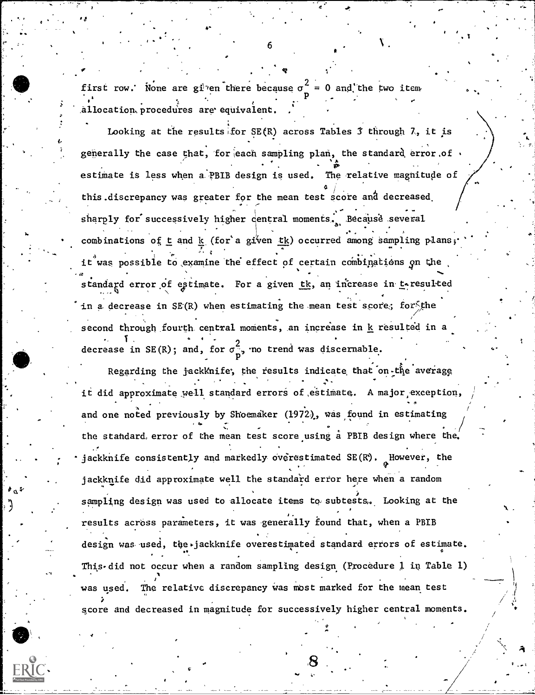first row. None are given there because  $\sigma^2 = 0$  and the two item allocation procedures are equivalent.

 $\mathcal{C} \leftarrow \mathcal{C} \leftarrow \mathcal{C} \leftarrow \mathcal{C} \leftarrow \mathcal{C}$ 

4,

**u** and the second of

Looking at the results for SE(R) across Tables  $\tilde{j}$  through 7, it is generally the case that, for each sampling plan, the standard error of  $\, \cdot \qquad /$  $\bullet$  . The set of  $\bullet$ . . . estimate is less when a PBIB design is used. The relative magnitude of  $4/1$ this discrepancy was greater for the mean test score and decreased  $\left\langle \right\rangle$ sharply for successively higher central moments. Because several , . .  $\cdot$  .  $\cdot$  . combinations of t and k (for'a given tk) occurred among sampling plans;  $\cdot$  . it was possible to examine the effect of certain combinations on the . And the contribution of  $\mathcal{N}_1$  , we can expect the contribution of  $\mathcal{N}_2$  . In the contribution of  $\mathcal{N}_1$ standard error of estimate. For a given tk, an increase in teresulted . .  $\ddot{\phantom{0}}$ in a decrease in  $SE(R)$  when estimating the mean test score; for the  $\bullet$  . The contract of the contract of the contract of the contract of the contract of the contract of the contract of the contract of the contract of the contract of the contract of the contract of the contract of the co second through fourth central moments, an increase in  ${\bf k}$  resulted in a second through ,  $\mathbf{I}$  , and  $\mathbf{I}$  . One is the set of  $\mathbf{I}$ decrease in SE(R); and, for  $\sigma_{\infty}^2$ , no trend was discernable.  $\cdot$   $\cdot$ 

 $\mathbf{r}$  is the set of  $\mathbf{r}$ 

Regarding the jackknife, the results indicate that on the average . . The contribution of the contribution of the contribution  $\mathcal{S}^{\mathcal{A}}$ it did approximate well standard errors of estimate. A major exception, 0 and one noted previously by Shoemaker (1972), was found in estimating the standard, error of the mean test score using a PBIB design where the. jackknife consistently and markedly overestimated SE(R). Mowever, the jackknife did approximate well the standard error here when a random  $sampling$  design was used to allocate items to subtests. Looking at the . results across parameters, it was generally found that, when a PBIB .<br>المراجع المراجع design was used, the -jackknife overestimated standard errors of estimate. This-did not occur when a random sampling design (Procedure 1 in Table 1) was used. The relative discrepancy was most marked for the mean test score and decreased in magnitude for successively higher central moments.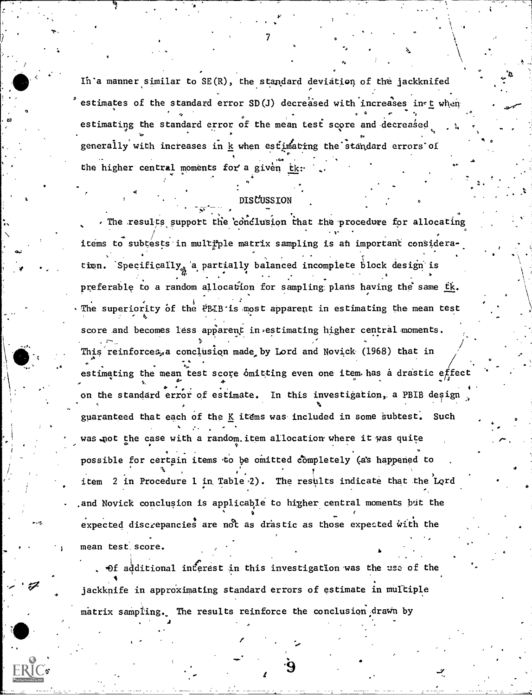In a manner similar to SE(R), the standard deviation of the jackknifed estimates of the standard error SD(J) decreased with increases in t when estimating the standard error of the mean test score and decreased generally with increases in k when estimating the standard errors of the higher central moments for a given tk

### DISCUSSTON

The results support the conclusion that the procedure for allocating items to subtests in multiple matrix sampling is an important consideration. Specifically, a partially balanced incomplete block design is preferable to a random allocation for sampling plans having the same tk. The superiority of the PBIB is most apparent in estimating the mean test score and becomes less apparent in estimating higher central moments. This reinforces, a conclusion made by Lord and Novick (1968) that in estimating the mean test score omitting even one item has a drastic effect on the standard error of estimate. In this investigation, a PBIB design guaranteed that each of the K items was included in some subtest. Such was not the case with a random item allocation where it was quite possible for certain items to be omitted completely (as happened to item 2 in Procedure 1 in Table 2). The results indicate that the Lord and Novick conclusion is applicable to higher central moments but the expected discrepancies are not as drastic as those expected with the mean test score.

Of additional inferest in this investigation was the use of the jackknife in approximating standard errors of estimate in multiple matrix sampling. The results reinforce the conclusion drawn by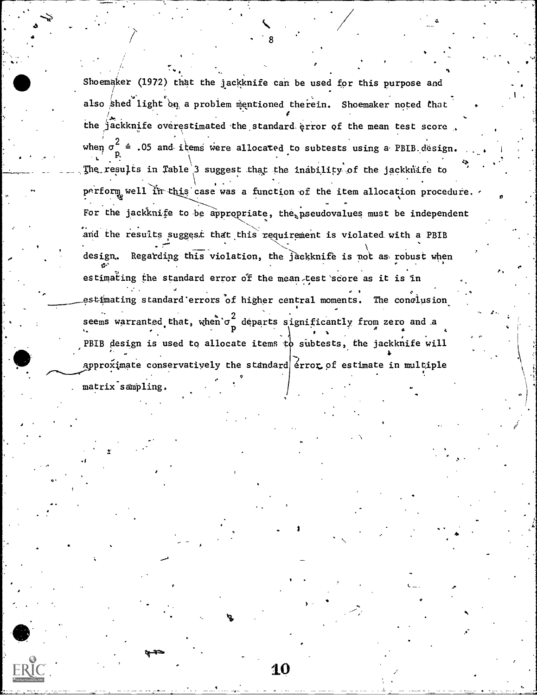Shoemaker (1972) that the jackknife can be used for this purpose and / . also shed light on a problem mentioned therein. Shoemaker noted that the state of  $/$ المن المستقلة المستقلة المستقلة المستقلة المستقلة المستقلة المستقلة المستقلة المستقلة المستقلة المستقلة المستقلة the jackknife overestimated the standard error of the mean test score . when  $\sigma_{-}^2$  = .05 and items were allocated to subtests using a PBIB design. w. r. The results in Table 3 suggest that the inability of the jackknife to perform well in this case was a function of the item allocation procedure.  $,$ . . .. -  $\mathbf{0}$  . Only the contract of  $\mathbf{0}$ For the jackknife to be appropriate, the pseudovalues must be independent and the results suggest that this requirement is violated with a PBIB ... design. Regarding this violation, the jackknife is not as robust when estimating the standard error of the mean test score as it is in estimating standard errors of higher central moments. The conclusion seems warranted that, when  $\sigma_{\perp}^2$  departs significantly from zero and a , provides the property of the second contribution  $\mathbf{P}$ PBIB design is used to allocate items to subtests, the jackknife will approximate conservatively the standard  $|$   $\epsilon$ rror of estimate in multiple . matrix sampling.

10

3

.1

 $\mathbf{r}_{\rm{A}}$  , and the state

 $\mathbf{v}_k$  . One can be a set of  $\mathbf{v}_k$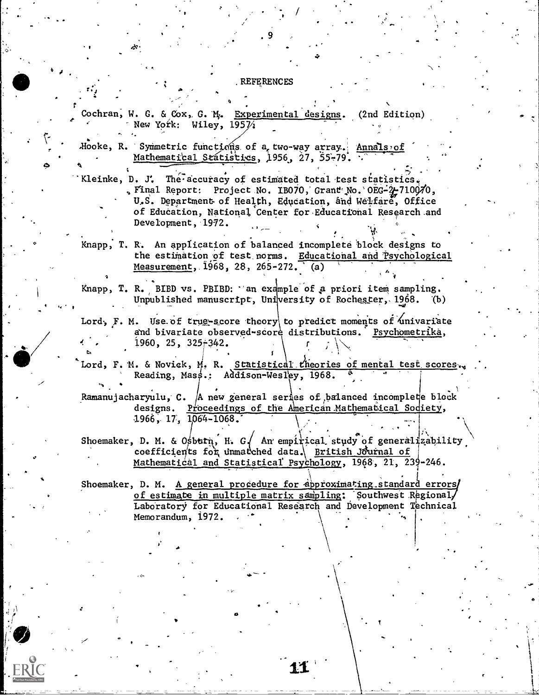#### REFERENCES

Cochran, W. G. & Cox, G. M. Experimental designs. (2nd Edition) New York: Wiley,  $195\%$ 

Hooke, R. Symmetric functions of a two-way array. Annals of Mathematical Statistics, 1956, 27, 55-79.

Kleinke, D. J. The accuracy of estimated total test statistics. . Final Report: Project No. 1B070, Grant No. 0EG-2-710070, U.S. Department of Health, Education, and Welfare, Office of Education, National Center for Educational Research and Development, 1972.

Knapp, T. R. An application of balanced incomplete block designs to the estimation of test norms. Educational and Psychological Measurement, 1968, 28, 265-272. (a)

Knapp, T. R. BIBD vs. PBIBD: 'an example of a priori item sampling. Unpublished manuscript, University of Rochester, 1968.  $(b)$ 

Lord, F. M. Use of trug-score theory to predict moments of univariate and bivariate observed-score distributions. Psychometrika, z.  $1960, 25, 325 + 342.$ 

Lord, F. M. & Novick, M. R. Statistical theories of mental test scores. Reading, Mass.: Addison-Wesley, 1968.

Ramanujacharyulu, C. A new general series of balanced incomplete block designs. Proceedings of the American Mathematical Sodiety, 1966, 17, 1064-1068.

Shoemaker, D. M. & Osburn, H. G. An empirical study of generalizability coefficients for unmarched data. British Journal of Mathematical and Statistical Psychology, 1968, 21, 239-246.

Shoemaker, D. M. A general procedure for approximating standard errors/ of estimate in multiple matrix sampling: Southwest Regionaly Laboratory for Educational Research and Development Technical Memorandum, 1972.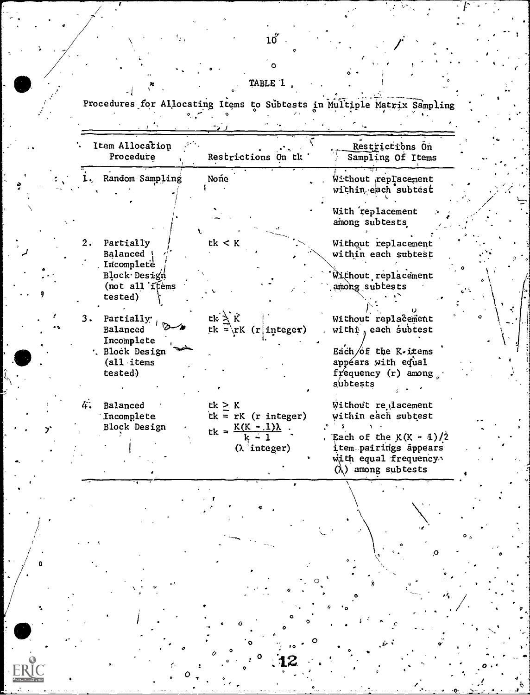# TABLE '1

 $\bullet$   $\bullet$   $\bullet$ 

Procedures for Allocating Items to Subtests in Multiple Matrix Sampling (Constant)

|  | Item Allocation<br>Procedure                            | Restrictions On tk                                            | Restrictions On<br>Sampling Of Items                                                                     |
|--|---------------------------------------------------------|---------------------------------------------------------------|----------------------------------------------------------------------------------------------------------|
|  | Random Sampling                                         | None                                                          | Without replacement<br>within each subtest                                                               |
|  |                                                         |                                                               | With replacement<br>among subtests                                                                       |
|  | 2.<br>Partially<br>Balanced<br>Incomplete               | tk < K                                                        | Without replacement<br>within each subtest                                                               |
|  | Block Design<br>$(not all if \epsilon$<br>tested)       |                                                               | Without replacement<br>among subtests                                                                    |
|  | Partially $\frac{1}{1}$<br>3.<br>Balanced<br>Incomplete | $tk$ $\lambda$ $\hat{K}$<br>$tk = \rK (r)$ integer)           | Without replacement<br>withi, each subtest                                                               |
|  | . Block Design<br>$(al1$ items<br>tested)               |                                                               | Each/of the K-items<br>appéars with equal<br>frequency (r) among<br>subtests                             |
|  | 4.<br>Balanced<br>Incomplete<br>Block Design            | tk > K<br>$tk = rK$ (r integer)                               | Without re lacement<br>within each subtest                                                               |
|  |                                                         | $tk = \frac{K(K - 1)\lambda}{k - 1}$<br>$(\lambda^3$ integer) | Each of the $K(K - 4)/2$<br>item pairings appears<br>with equal frequency.<br>$(\lambda)$ among subtests |
|  |                                                         |                                                               |                                                                                                          |
|  |                                                         |                                                               |                                                                                                          |
|  |                                                         |                                                               |                                                                                                          |
|  |                                                         |                                                               |                                                                                                          |
|  |                                                         |                                                               |                                                                                                          |

ERIC

0

 $\ddot{\mathbf{o}}$ 

 $I = \{1, 2, \ldots \}$ 

0

 $\boldsymbol{o}$   $\boldsymbol{\cdot}$   $\boldsymbol{\cdot}$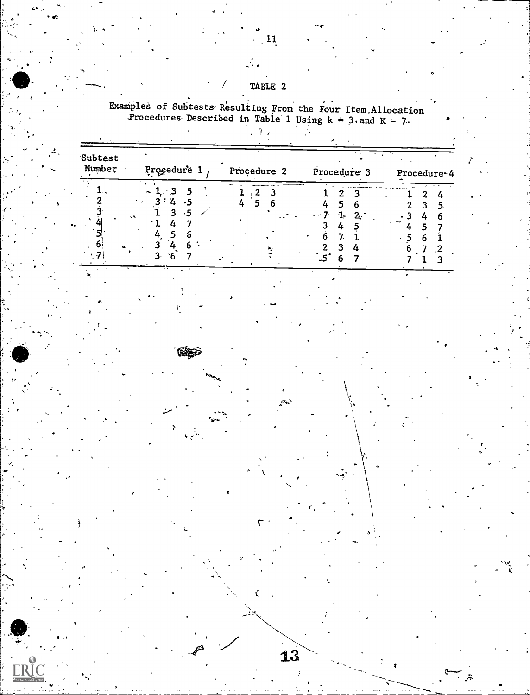## TABLE 2

Examples of Subtests Resulting From the Four Item Allocation<br>Procedures Described in Table 1 Using  $k = 3$  and  $K = 7$ .  $\mathcal{L}(\mathcal{T})$ 

 $\mathcal{L}$ 

| Subtest<br>Number | Procedure 1 | Procedure 2 | Procedure 3    | $\sim$<br>Procedure-4 |
|-------------------|-------------|-------------|----------------|-----------------------|
|                   |             |             | ﹖<br>1.<br>2.1 |                       |

 $\overrightarrow{13}$ 

 $\ddot{\mathbf{x}}$ 

ERIC

 $\left(11\right)$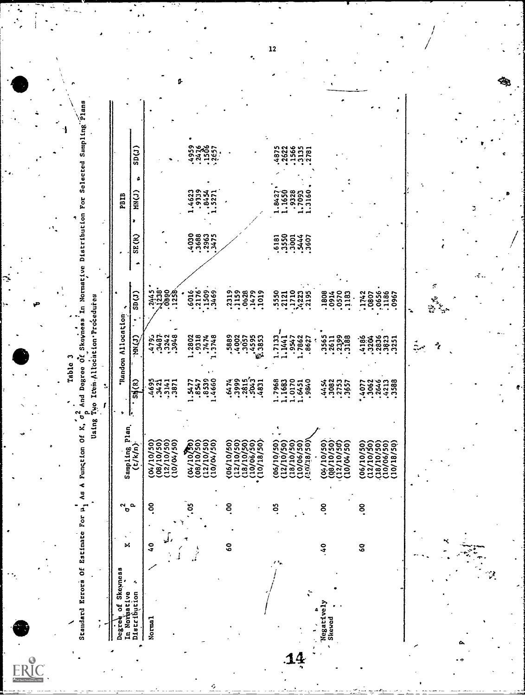| ຶ<br>o      |  |
|-------------|--|
| 4<br>۰<br>œ |  |
| E           |  |
|             |  |

٦

 $ER_{\text{curv}}^{\text{C}}$ 

Standard Esrors Of Estimate For h<sub>1</sub> As A Function Of K, o<sub>6</sub> And Degree Of Skevness In Normative Distribution For Selected Sampling *Plans* 

| ì                                      |  |
|----------------------------------------|--|
| י האת ה<br>$\frac{1}{2}$               |  |
| į<br>110cm                             |  |
| ŧ.<br>.<br>بار<br>بار<br>- 1<br>4<br>4 |  |
| يو                                     |  |
| Jaing                                  |  |
|                                        |  |

| Degree of Skeymess<br>In Normative<br>Distribution > | ×             | $\sigma$ | Sampling Plan                                                                                                      |                                    | Random Allocation                               |                                 |                              | <b>PBIB</b>                                  |                       |  |
|------------------------------------------------------|---------------|----------|--------------------------------------------------------------------------------------------------------------------|------------------------------------|-------------------------------------------------|---------------------------------|------------------------------|----------------------------------------------|-----------------------|--|
| ٠                                                    |               | a.       | (t/k/n)                                                                                                            | $\frac{S}{\sqrt{R}}$               | <b>CDRU</b>                                     | $\text{SD}(1)$                  | SE(R)                        | ٥<br><b>CC)NR</b><br>×                       | $\text{SD}(J)$        |  |
| Norma <sub>1</sub>                                   | $\frac{1}{2}$ | ိ        | (08/10/50)<br>(08/10/50)                                                                                           |                                    |                                                 |                                 |                              |                                              |                       |  |
|                                                      |               |          | $(12/10/50)$<br>$(10/04/50)$                                                                                       | 4695<br>4421<br>45141              | $4,9,2,3,4,5$<br>$4,9,5,4,3,6$<br>$4,9,4,3,4,6$ | 3.7888                          |                              |                                              |                       |  |
|                                                      |               |          | $(04/10)^{36}_{(16/19)}$                                                                                           | 1.5477<br>7728.1                   | 1.2802<br>19118<br>1474<br>1.3748               | .6016                           | 40383475                     | 1.4623<br>- 9339<br>- 5271<br>- 5271         | 135657                |  |
|                                                      |               |          | 12/10/50)<br>10/04/50)                                                                                             | .8539                              |                                                 | 1509<br>3469                    |                              |                                              |                       |  |
|                                                      | <b>SO</b>     | <u>ိ</u> | 06/10/50)                                                                                                          |                                    |                                                 | 2319<br>1159                    |                              |                                              |                       |  |
|                                                      |               |          | (12/10/50)<br>(12/10/50)<br>(10/06/50)<br>(10/18/50)                                                               | 385353                             | 1993<br>1995<br>1995<br>1998<br>1998            | 0628<br>1479<br>1019            |                              |                                              |                       |  |
|                                                      |               |          |                                                                                                                    |                                    |                                                 |                                 |                              |                                              |                       |  |
|                                                      |               | 3.       | 12/10/50)<br>06/10/50                                                                                              | .7968                              | $1.1441$ <sup>-</sup><br>1.7133                 |                                 |                              | .842                                         | 4875                  |  |
| ÷,                                                   |               |          | $(18/10/50)$<br>$(10/06/50)$<br>202/36/50                                                                          | 1.1683<br>1.0170<br>1.6451<br>9840 | .9547<br>1,7862                                 | 5550<br>12110<br>12223<br>14223 | <b>angda</b><br><b>angda</b> | $1.1650$<br>$1.3328$<br>$1.7093$<br>$1.3160$ | 2622<br>2565<br>21312 |  |
| Negatively<br>Skewed                                 | $\frac{1}{2}$ | °.       | (04/10/50)<br>(08/10/50)<br>(12/10/50)                                                                             | 450257                             | 3565<br>2611<br>27388                           | 1808<br>0570<br>183<br>183      |                              |                                              |                       |  |
|                                                      |               |          | 10/04/50)                                                                                                          |                                    |                                                 |                                 |                              |                                              |                       |  |
|                                                      | S             | <u>ိ</u> | $\begin{array}{c} (12/10/50) \\ (18/10/50) \\ (10/06/50) \\ (10/10/18/50) \\ (10/18/50) \end{array}$<br>(06/10/50) | 20631388<br>.4077                  |                                                 | 1742<br>10807<br>1186<br>1186   |                              |                                              |                       |  |
|                                                      |               |          |                                                                                                                    |                                    |                                                 | 0967                            |                              |                                              |                       |  |

R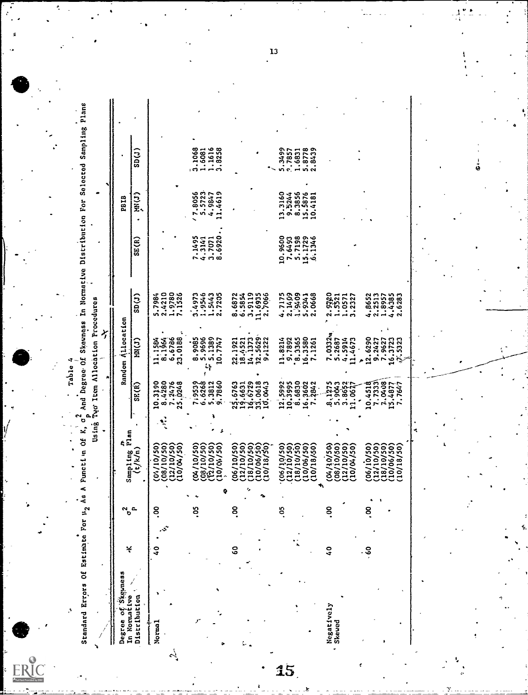ERIC

Table 4

Standard Errors Of Estimico For 12 As A Functi n Of K, o2 And Degree Of Skeeness In Normative Distribution For Selected Sampling Plans  $3.1068$ <br> $1.6081$ <br> $1.1616$ <br> $3.8258$ 1.6831<br>5.8778<br>2.8439  $\overline{\text{SD}(1)}$ .3499<br>7857  $'7.8056$ <br>5.5723<br>4.9847<br>11.4619  $13.3160  
\n9.5244  
\n8.3856  
\n15.4876  
\n10.4181$  $M(J)$ **PBIB**  $7.1495$ <br> $4.3141$ <br> $3.7071$ <br> $8.6920$ . 10.9600<br>7.6493<br>5.7198<br>15.1729<br>15.1346  $SE(R)$ 8.6872<br>6.5854<br>11.6935<br>11.6935  $4.7175$ <br>  $2.1409$ <br>  $3.9409$ <br>  $5.9341$ <br>  $2.0668$ 5.7984<br>2.4210<br>1.9780<br>7.1526 1.5443<br>2.7235  $4.8652$ <br>  $2.2513$ <br>  $4.4385$ <br>  $4.4385$ <br>  $2.6283$  $\frac{1}{\sin(1)}$ ,9546 2.5521<br>1.5521  $.0571$  $3.4973$ Using Tyo Item Allocation Procedures Rundom Allocation  $7.03324$ <br>5.2687  $11.1504$ <br>8.1964<br>6.6736<br>23.0188 8,9085<br>5,9696<br>1389<br>10,7747  $\begin{array}{cc} 1 & 0 & 0 & 0 \\ 1 & 0 & 0 & 0 \\ 1 & 0 & 1 & 0 \\ 1 & 0 & 0 & 0 \\ 2 & 0 & 0 & 0 \\ 9 & 0 & 1 & 2 & 2 \\ 9 & 0 & 1 & 2 & 2 \\ 9 & 0 & 1 & 2 & 2 \\ 9 & 0 & 1 & 2 & 2 \\ 9 & 0 & 1 & 2 & 2 \\ 9 & 0 & 1 & 2 & 2 \\ 1 & 0 & 0 & 0 & 0 \\ 1 & 0 & 0 & 0 & 0 \\ 1 & 0 & 0 & 0 & 0 \\ 1 & 0 & 0 & 0 & 0 \\ 1 &$ 11.8214<br>8.7892<br>8.3365<br>16.3380<br>7.1261 9.2427<br>7.9627<br>16.3723<br>*Q*. 5323 4.5914<br>11.4673  $MN(J)$ 12.6290 22, 1921 719539<br>6.6268<br>5.3812<br>9.7860 10.4518<br>7.7333<br>15.4877<br>15.4877 25.6763<br>19.6631<br>19.0618<br>10.0443 10.3190<br>8.4280<br>7.2476<br>25.0248  $12,5992  
\n10,5995  
\n16,5602  
\n16,3602  
\n7,2842$  $SE(R)$ 8,1275 3.8652  $\cdot$  $\ddot{\cdot}$  $\begin{array}{c}\n\text{Samp1ing P1an} \\
\text{Cylk/n}\n\end{array}$  $(04/10/50)$ <br> $(08/10/50)$ <br> $(12/10/50)$ <br> $(12/10/50)$  $(04/10/50)$ <br> $(08/10/50)$ <br> $(12/10/50)$ <br> $(12/10/50)$  $\begin{pmatrix} 12710750 \\ 13710750 \\ 18710750 \\ 1006750 \\ 10018750 \end{pmatrix}$  $\begin{array}{c} (06/10/50) \\ (12/10/50) \\ (18/10/150) \\ (18/10/150) \\ (10/16/50) \\ (10/18/50) \\ (10/18/50) \end{array}$ (12/10/50)<br>(18/10/50)<br>(10/06/50)<br>(10/18/50)  $(04/10/50)$ <br> $(08/10/50)$ <br> $(12/10/50)$ <br> $(12/10/50)$  $(06/10/50)$  $(06/10/50)$  $\ddot{\circ}$ 8,  $\ddot{\circ}$  $\ddot{\circ}$  $\tt S$ S  $\sim_{\circ}$ .<br>تې  $\ddot{\bm{e}}$  $\frac{0}{4}$  $\overline{a}$ ¥ Degree of Skewness Distribution In Normative Negatively<br>Skewed Norma<sub>1</sub> أبيه

15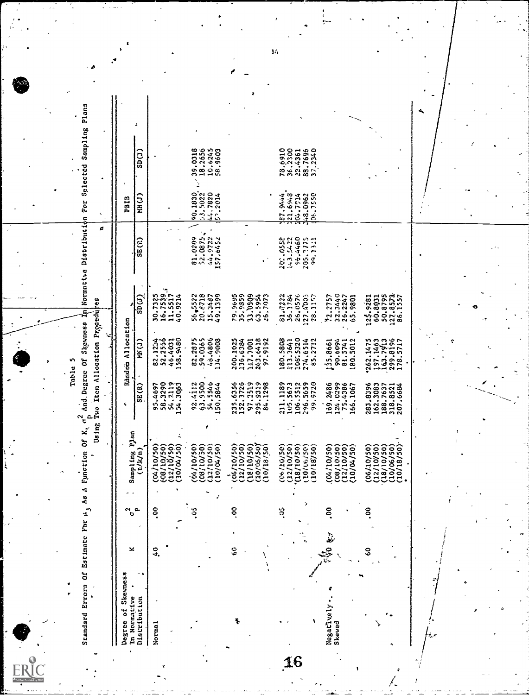Standard Errors Of Estimate For 1, As A Function Of K, C, And Degree Of Skovness in Normative Distribution For Selected Sampling Plans Table 5

| 18.2656<br>10.6245<br>78.6910<br>0023.300<br>39.0318<br>58.9603<br>37,2240<br>88.7696<br>$\mathsf{SD}(\mathsf{J})$<br>22.4361<br>14.7820<br>53,5022<br>90.1830<br>21.6%3<br>08.7550<br>48.0962<br>.2014<br>127.5444<br>101.7214<br><b>CCXXX</b><br>Ċ<br>52,0875<br>44.9722<br>81.0209<br>157.6452<br>202.0552<br>143.5422<br>96.4460<br>205.3175<br>99, 1341<br>10,637,7<br>11,5517<br>40,9214<br>16,7539<br>30,7325<br>$\sin(t)$<br>56,5522<br>20.8718<br>79.9695<br>35.9859<br>$72.2757$<br>$22.3440$<br>$25.2247$<br>$65.9801$<br>127.8573.<br>86.1557<br>15.3487<br>49.1399<br>33.0909<br>26,7073<br>81,7322<br>28.1157<br>50.8795<br>36.1784<br>27.4005<br>26.0576<br>125.9281<br>60.8031<br>106.5320<br>82.2875<br>59.0365<br>48.4806<br>134.9008<br>243.6418<br>9192<br>80.5808<br>2712<br>90.6094<br>5012<br>262.1475<br>82.1234<br>52.2556<br>46.4031<br>158,9480<br>200.1025<br>113.3641<br>135.8661<br>81.5741<br>97.1463<br>163.7913<br>299.8196<br>178.5717<br>36.6384<br>274.6514<br>117,7001<br><b>(こと)</b><br>å.<br>299.<br>5.<br>$\ddot{s}$<br>63.9500<br>295.9319<br>1298<br>54.2119<br>92.4112<br>54.5546<br>235.6356<br>152.3726<br>97.2519<br>1189<br>5512<br>9720<br>58.3290<br>5673<br>159,2486<br>124.0299<br>283.8396<br>SE(R)<br>50.5844<br>75.4386<br>162.3083<br>188.7637<br>318.8521<br>207.6684<br>95,4697<br>.66.1067<br>$\frac{1}{2}$<br>105.<br>106.<br><u>કાર</u> .<br>$\frac{1}{2}$<br>ž\$.<br>10/06/50)<br>10/18/50<br>08/10/50)<br>12/10/50)<br>10/04/50)<br>06/10/50)<br>(12/10/50)<br>(18/10/50)<br>10/06/50<br>18/10/50)<br>(12/10/50)<br>(08/10/50)<br>(12/10/50)<br>(10/18/50)<br>(08/10/50)<br>(12/10/50)<br>(06/10/50)<br>10/18/50)<br>(10/04/50)<br>(12/10/50)<br>(10/06/50)<br>04/10/50<br>04/10/50)<br>(04/10/50)<br>(06/10/50)<br>(18/10/50)<br>10/04/50<br>(a/k/n)<br>2<br>8<br>g<br>ຊ<br>$\frac{6}{9}$<br>$\frac{1}{2}$<br>e9<br>Distribution<br>Negatively<br>Skewed<br>Norma <sub>1</sub> | Degree of Skeimess<br>In Normative | × |  | unta Suntdems |  | Random Allocation |  |       | <b>PBIB</b> |  |
|-----------------------------------------------------------------------------------------------------------------------------------------------------------------------------------------------------------------------------------------------------------------------------------------------------------------------------------------------------------------------------------------------------------------------------------------------------------------------------------------------------------------------------------------------------------------------------------------------------------------------------------------------------------------------------------------------------------------------------------------------------------------------------------------------------------------------------------------------------------------------------------------------------------------------------------------------------------------------------------------------------------------------------------------------------------------------------------------------------------------------------------------------------------------------------------------------------------------------------------------------------------------------------------------------------------------------------------------------------------------------------------------------------------------------------------------------------------------------------------------------------------------------------------------------------------------------------------------------------------------------------------------------------------------------------------------------------------------------------------------------------------------------------------------------------------------------------------------------------------------------------------------------------------------------------------------------|------------------------------------|---|--|---------------|--|-------------------|--|-------|-------------|--|
|                                                                                                                                                                                                                                                                                                                                                                                                                                                                                                                                                                                                                                                                                                                                                                                                                                                                                                                                                                                                                                                                                                                                                                                                                                                                                                                                                                                                                                                                                                                                                                                                                                                                                                                                                                                                                                                                                                                                               |                                    |   |  |               |  |                   |  | SE(0) |             |  |
|                                                                                                                                                                                                                                                                                                                                                                                                                                                                                                                                                                                                                                                                                                                                                                                                                                                                                                                                                                                                                                                                                                                                                                                                                                                                                                                                                                                                                                                                                                                                                                                                                                                                                                                                                                                                                                                                                                                                               |                                    |   |  |               |  |                   |  |       |             |  |
|                                                                                                                                                                                                                                                                                                                                                                                                                                                                                                                                                                                                                                                                                                                                                                                                                                                                                                                                                                                                                                                                                                                                                                                                                                                                                                                                                                                                                                                                                                                                                                                                                                                                                                                                                                                                                                                                                                                                               |                                    |   |  |               |  |                   |  |       |             |  |
|                                                                                                                                                                                                                                                                                                                                                                                                                                                                                                                                                                                                                                                                                                                                                                                                                                                                                                                                                                                                                                                                                                                                                                                                                                                                                                                                                                                                                                                                                                                                                                                                                                                                                                                                                                                                                                                                                                                                               |                                    |   |  |               |  |                   |  |       |             |  |
|                                                                                                                                                                                                                                                                                                                                                                                                                                                                                                                                                                                                                                                                                                                                                                                                                                                                                                                                                                                                                                                                                                                                                                                                                                                                                                                                                                                                                                                                                                                                                                                                                                                                                                                                                                                                                                                                                                                                               |                                    |   |  |               |  |                   |  |       |             |  |
|                                                                                                                                                                                                                                                                                                                                                                                                                                                                                                                                                                                                                                                                                                                                                                                                                                                                                                                                                                                                                                                                                                                                                                                                                                                                                                                                                                                                                                                                                                                                                                                                                                                                                                                                                                                                                                                                                                                                               |                                    |   |  |               |  |                   |  |       |             |  |
|                                                                                                                                                                                                                                                                                                                                                                                                                                                                                                                                                                                                                                                                                                                                                                                                                                                                                                                                                                                                                                                                                                                                                                                                                                                                                                                                                                                                                                                                                                                                                                                                                                                                                                                                                                                                                                                                                                                                               |                                    |   |  |               |  |                   |  |       |             |  |
|                                                                                                                                                                                                                                                                                                                                                                                                                                                                                                                                                                                                                                                                                                                                                                                                                                                                                                                                                                                                                                                                                                                                                                                                                                                                                                                                                                                                                                                                                                                                                                                                                                                                                                                                                                                                                                                                                                                                               |                                    |   |  |               |  |                   |  |       |             |  |
|                                                                                                                                                                                                                                                                                                                                                                                                                                                                                                                                                                                                                                                                                                                                                                                                                                                                                                                                                                                                                                                                                                                                                                                                                                                                                                                                                                                                                                                                                                                                                                                                                                                                                                                                                                                                                                                                                                                                               |                                    |   |  |               |  |                   |  |       |             |  |
|                                                                                                                                                                                                                                                                                                                                                                                                                                                                                                                                                                                                                                                                                                                                                                                                                                                                                                                                                                                                                                                                                                                                                                                                                                                                                                                                                                                                                                                                                                                                                                                                                                                                                                                                                                                                                                                                                                                                               |                                    |   |  |               |  |                   |  |       |             |  |
|                                                                                                                                                                                                                                                                                                                                                                                                                                                                                                                                                                                                                                                                                                                                                                                                                                                                                                                                                                                                                                                                                                                                                                                                                                                                                                                                                                                                                                                                                                                                                                                                                                                                                                                                                                                                                                                                                                                                               |                                    |   |  |               |  |                   |  |       |             |  |
|                                                                                                                                                                                                                                                                                                                                                                                                                                                                                                                                                                                                                                                                                                                                                                                                                                                                                                                                                                                                                                                                                                                                                                                                                                                                                                                                                                                                                                                                                                                                                                                                                                                                                                                                                                                                                                                                                                                                               |                                    |   |  |               |  |                   |  |       |             |  |
|                                                                                                                                                                                                                                                                                                                                                                                                                                                                                                                                                                                                                                                                                                                                                                                                                                                                                                                                                                                                                                                                                                                                                                                                                                                                                                                                                                                                                                                                                                                                                                                                                                                                                                                                                                                                                                                                                                                                               |                                    |   |  |               |  |                   |  |       |             |  |
|                                                                                                                                                                                                                                                                                                                                                                                                                                                                                                                                                                                                                                                                                                                                                                                                                                                                                                                                                                                                                                                                                                                                                                                                                                                                                                                                                                                                                                                                                                                                                                                                                                                                                                                                                                                                                                                                                                                                               |                                    |   |  |               |  |                   |  |       |             |  |
|                                                                                                                                                                                                                                                                                                                                                                                                                                                                                                                                                                                                                                                                                                                                                                                                                                                                                                                                                                                                                                                                                                                                                                                                                                                                                                                                                                                                                                                                                                                                                                                                                                                                                                                                                                                                                                                                                                                                               |                                    |   |  |               |  |                   |  |       |             |  |
|                                                                                                                                                                                                                                                                                                                                                                                                                                                                                                                                                                                                                                                                                                                                                                                                                                                                                                                                                                                                                                                                                                                                                                                                                                                                                                                                                                                                                                                                                                                                                                                                                                                                                                                                                                                                                                                                                                                                               |                                    |   |  |               |  |                   |  |       |             |  |
|                                                                                                                                                                                                                                                                                                                                                                                                                                                                                                                                                                                                                                                                                                                                                                                                                                                                                                                                                                                                                                                                                                                                                                                                                                                                                                                                                                                                                                                                                                                                                                                                                                                                                                                                                                                                                                                                                                                                               |                                    |   |  |               |  |                   |  |       |             |  |
|                                                                                                                                                                                                                                                                                                                                                                                                                                                                                                                                                                                                                                                                                                                                                                                                                                                                                                                                                                                                                                                                                                                                                                                                                                                                                                                                                                                                                                                                                                                                                                                                                                                                                                                                                                                                                                                                                                                                               |                                    |   |  |               |  |                   |  |       |             |  |
|                                                                                                                                                                                                                                                                                                                                                                                                                                                                                                                                                                                                                                                                                                                                                                                                                                                                                                                                                                                                                                                                                                                                                                                                                                                                                                                                                                                                                                                                                                                                                                                                                                                                                                                                                                                                                                                                                                                                               |                                    |   |  |               |  |                   |  |       |             |  |
|                                                                                                                                                                                                                                                                                                                                                                                                                                                                                                                                                                                                                                                                                                                                                                                                                                                                                                                                                                                                                                                                                                                                                                                                                                                                                                                                                                                                                                                                                                                                                                                                                                                                                                                                                                                                                                                                                                                                               |                                    |   |  |               |  |                   |  |       |             |  |
|                                                                                                                                                                                                                                                                                                                                                                                                                                                                                                                                                                                                                                                                                                                                                                                                                                                                                                                                                                                                                                                                                                                                                                                                                                                                                                                                                                                                                                                                                                                                                                                                                                                                                                                                                                                                                                                                                                                                               |                                    |   |  |               |  |                   |  |       |             |  |
|                                                                                                                                                                                                                                                                                                                                                                                                                                                                                                                                                                                                                                                                                                                                                                                                                                                                                                                                                                                                                                                                                                                                                                                                                                                                                                                                                                                                                                                                                                                                                                                                                                                                                                                                                                                                                                                                                                                                               |                                    |   |  |               |  |                   |  |       |             |  |
|                                                                                                                                                                                                                                                                                                                                                                                                                                                                                                                                                                                                                                                                                                                                                                                                                                                                                                                                                                                                                                                                                                                                                                                                                                                                                                                                                                                                                                                                                                                                                                                                                                                                                                                                                                                                                                                                                                                                               |                                    |   |  |               |  |                   |  |       |             |  |
|                                                                                                                                                                                                                                                                                                                                                                                                                                                                                                                                                                                                                                                                                                                                                                                                                                                                                                                                                                                                                                                                                                                                                                                                                                                                                                                                                                                                                                                                                                                                                                                                                                                                                                                                                                                                                                                                                                                                               |                                    |   |  |               |  |                   |  |       |             |  |
|                                                                                                                                                                                                                                                                                                                                                                                                                                                                                                                                                                                                                                                                                                                                                                                                                                                                                                                                                                                                                                                                                                                                                                                                                                                                                                                                                                                                                                                                                                                                                                                                                                                                                                                                                                                                                                                                                                                                               |                                    |   |  |               |  |                   |  |       |             |  |
|                                                                                                                                                                                                                                                                                                                                                                                                                                                                                                                                                                                                                                                                                                                                                                                                                                                                                                                                                                                                                                                                                                                                                                                                                                                                                                                                                                                                                                                                                                                                                                                                                                                                                                                                                                                                                                                                                                                                               |                                    |   |  |               |  |                   |  |       |             |  |
|                                                                                                                                                                                                                                                                                                                                                                                                                                                                                                                                                                                                                                                                                                                                                                                                                                                                                                                                                                                                                                                                                                                                                                                                                                                                                                                                                                                                                                                                                                                                                                                                                                                                                                                                                                                                                                                                                                                                               |                                    |   |  |               |  |                   |  |       |             |  |

 $\mathbf{1}4$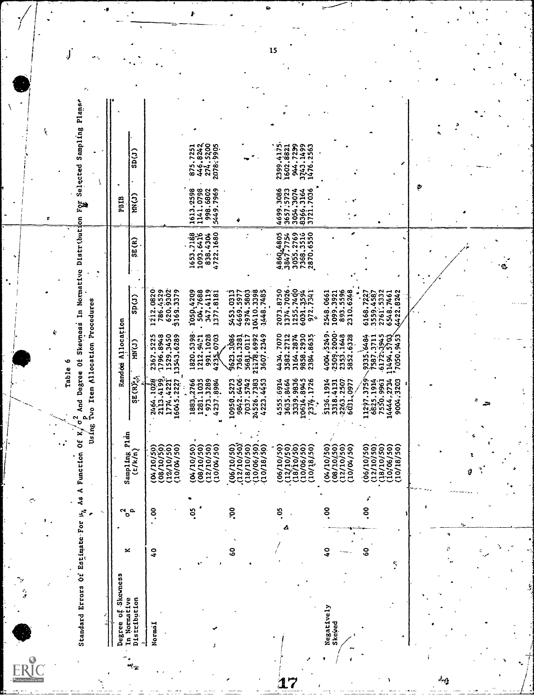| Standard Errors Of Estimate For                    |                 | $\mathbf{H}_d$<br>۰ | Using                                                                              | Two Item Allocation Procedures<br>And Degree<br>$\sigma^2$                 |                                                                      |                                                                |                                                               | <b>Roa</b>                                                       |                                                              | ۰. |
|----------------------------------------------------|-----------------|---------------------|------------------------------------------------------------------------------------|----------------------------------------------------------------------------|----------------------------------------------------------------------|----------------------------------------------------------------|---------------------------------------------------------------|------------------------------------------------------------------|--------------------------------------------------------------|----|
| Degree of Skewness<br>In Normative<br>Distribution | ×               | <b>م</b><br>ભ<br>ь  | Plan<br>(t/k/n)<br>Sampling                                                        | Randos<br>SE (R) 22                                                        | Allocation<br><b>C) NK</b>                                           | $\text{Sp}(J)$                                                 | SE(R)                                                         | <b>EC)HUN</b><br>PBIB                                            | $\text{SD}(J)$                                               |    |
| Normal                                             | $\frac{1}{2}$   | S.                  | (08/10/50)<br>(12/10/50)<br>(05/01/20)<br>(10/W/50)                                | 2464.1028<br>2113.4199.<br>1774.4221<br>16045.2227                         | 1796.8948<br>1529.3450<br>13543.6289<br>2367.5225                    | 1212.0820<br>786.4529<br>620.9302<br>9169.3379                 |                                                               |                                                                  |                                                              |    |
|                                                    |                 | °S                  | (05/01/20)<br>(08/10/50)<br>(12/10/50)<br>(10/04/50)                               | 1883, 2766<br>1281.1035<br>4237.8984                                       | 1820, 5398<br>991,1028<br>1212.9401<br>0703<br>423.5                 | 347.4119<br>1377.8181<br>1050,4209<br>504.7688                 | 4722.1680<br>1653.7188<br>1093.6416<br>838.4304               | 1141.0798<br>1613,2598<br>998.6802<br>5449.7969                  | 446.8242<br>2078.9905<br>875.7251                            |    |
|                                                    | eo              | Š                   | (06/10/50)<br>(12/10/50)<br>(18/10/50)<br>(10/06/50)<br>(10/18/50)                 | 10950, 5273<br>9842.6406<br>7037.5742<br>24526.7383<br>4223.4453<br>10950. | 9623,3086<br>7361,3281<br>5681,0117<br>21:178.6992<br>3607.2349      | 0410.3398<br>1448.7485<br>5453.0313<br>4669.5977<br>2974.5803  |                                                               |                                                                  |                                                              |    |
|                                                    |                 | రి<br>A             | $(12/10/50)$<br>$(18/10/50)$<br>(06/10/50)<br>(10/06/50)<br>(10/18/50)             | 3339.9836<br>10614.8945<br>4555:6914<br>2374.1726<br>3635.8464             | 4434.7070<br>9858.2930<br>3582.2712<br>2384.8635<br>3164.2874        | 1374.7026<br>1255.7400<br>6031.3594<br>2073.8750<br>972.7341   | 4860,4805<br>3847.7754<br>3055.2769<br>7368.3516<br>2870.6550 | 4699.3086<br>3657.5723<br>3054.3074<br>7036<br>8366.3164<br>3721 | 2399.4175<br>944.7239<br>3743.1499<br>1602.8821<br>1476.2563 |    |
| Negatively<br>Skewed                               | $\frac{0}{4}$   | 8.                  | 08/10/50)<br>(12/10/50)<br>04/10/50)<br>(10/04/50)                                 | 5136.1914<br>3318.4131<br>2263.2507<br>6031,0977                           | 4004,5249.<br>$2509, 2000$ .<br>$2353, 1648$<br>5852.6328            | 893.5596<br>2310.6248<br>2548.0661<br>1099.3921                |                                                               |                                                                  |                                                              |    |
| 4                                                  | <b>SO</b><br>ř, | f<br><u>ိ</u>       | (18/10/50)<br>(12/10/50)<br>(10/06/50)<br>(06/10/50)<br>$\overline{50}$<br>(10/18) | 11297.3759<br>6825.1914<br>7550.9961<br>14444.2734<br>.3203<br>9004.       | $335.6484$<br>$7587.3711$<br>$6172.3945$<br>$1494.5703$<br>7050.9453 | 2761, 5332<br>6168.7227<br>3559.4587<br>1422.8242<br>6548.7461 |                                                               |                                                                  |                                                              |    |
|                                                    |                 | ŧ                   |                                                                                    |                                                                            |                                                                      |                                                                |                                                               | Φ                                                                |                                                              |    |
|                                                    | ç               |                     |                                                                                    |                                                                            |                                                                      |                                                                |                                                               |                                                                  |                                                              |    |

 $17$ 

ム

 $\frac{15}{2}$ 

Ł

 $\mathbf{r}_2$ 

 $ERIC$ 

 $\int$ 

ŕ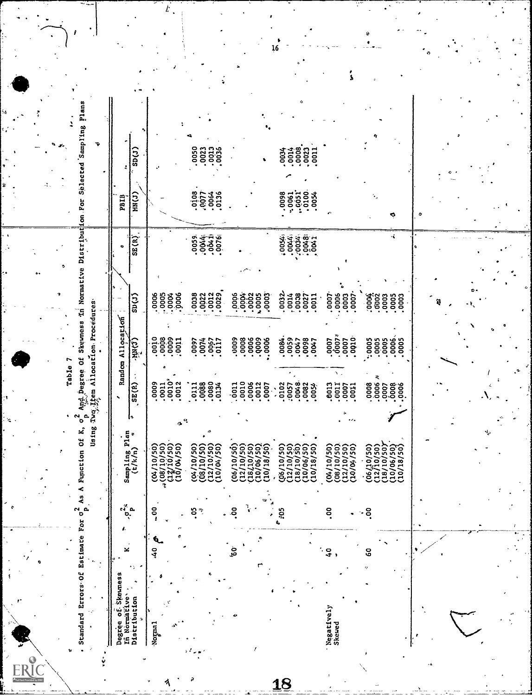Table 7

 $ERIC$ 

Á

 $\frac{1}{2}$ 

Standard Errors-Of Estimate For  $\sigma_p^2$  As A Function Of K,  $\sigma_p^2$  And Degree Of Skewness in Normative Distribution For Selected Sampling Plans

| Degree of Skewnes<br>In Normative | ×                | $\begin{array}{c} \mathbf{c}_1^{\mathcal{U}} \mathbf{c} \\ \mathbf{0} \end{array}$ |                                                                      |                                             | Random Allocation                                                  |                                      |                                              | PRIB                 | ż                           |  |
|-----------------------------------|------------------|------------------------------------------------------------------------------------|----------------------------------------------------------------------|---------------------------------------------|--------------------------------------------------------------------|--------------------------------------|----------------------------------------------|----------------------|-----------------------------|--|
| Distribution<br>ኌ                 |                  |                                                                                    | Sampling Plan<br>$(t/k/n)$ $\circ$                                   | SE(R)                                       | Cortir.                                                            | $\sup(T)$                            | SE(R)                                        | <b>HN(J)</b>         | $\mathsf{SD}(J)$            |  |
| Normal.                           | ē.<br>$\ddot{3}$ | $\frac{8}{3}$                                                                      | (08/10/50)<br>(12/10/50)<br>(10/04/50)<br>(04/10/50)                 | 001102<br>001012<br>001010                  | <b>1888</b><br>8888<br>8888                                        | 88888                                |                                              |                      |                             |  |
|                                   |                  | ខុំ                                                                                | (08/10/50)<br>(12/10/50)<br>(04/10/50)<br>(10/04/50)                 |                                             | 0074<br>0967<br>0117<br>0097                                       | 0032<br>0022<br>0023<br>0029         | <b>054419</b><br>004419<br>00500             | 01054<br>007136      | <b>050</b><br>00213<br>0036 |  |
| ł                                 | ن<br>مر          | ă.                                                                                 | (06/10/30)<br>(12/10/50)<br>(18/10/50)<br>(10/06/50)<br>(10/18/50)   | $\frac{0}{0010}$<br>.0006<br>$\ddot{\cdot}$ | 0009<br>0006<br>.0006<br>0008                                      | 0003<br>0003<br>0003<br>0003         |                                              |                      |                             |  |
|                                   |                  | - 105                                                                              | 10/06/50)<br>$(12/10/50)$<br>$(18/10/50)$<br>06/10/50)<br>(10/18/50) | .0048<br>.0102<br>:0057<br>0082<br>0054     | 084.<br>0059<br>0047<br>0098<br>0047                               | 0032<br>0014<br>0037<br>0027<br>0011 | <b>1888</b><br>0003<br>0.00<br><b>17200.</b> | ទីទី១១៩<br>ខែចុំទី១១ |                             |  |
| Negatively<br>Skewed              | Ş<br>٠,          | 8.                                                                                 | (08/10/50)<br>(04/10/50)<br>(12/10/50)<br>(10104/50)                 |                                             | $\begin{bmatrix} 200 \\ 000 \\ 000 \\ 000 \\ 000 \\ \end{bmatrix}$ | 0003<br>0003<br>0007<br>.0007        |                                              |                      |                             |  |
|                                   | GO               | ိဝ<br>-                                                                            | (12/10/50)<br>(18/10/50)<br>(10/06/50)<br>(06/10/50)<br>(10/18/50)   |                                             | :0005                                                              | 8888888                              | ÷                                            |                      |                             |  |

<u>18</u>

 $\overline{16}$ 

 $\vec{t}$ ,